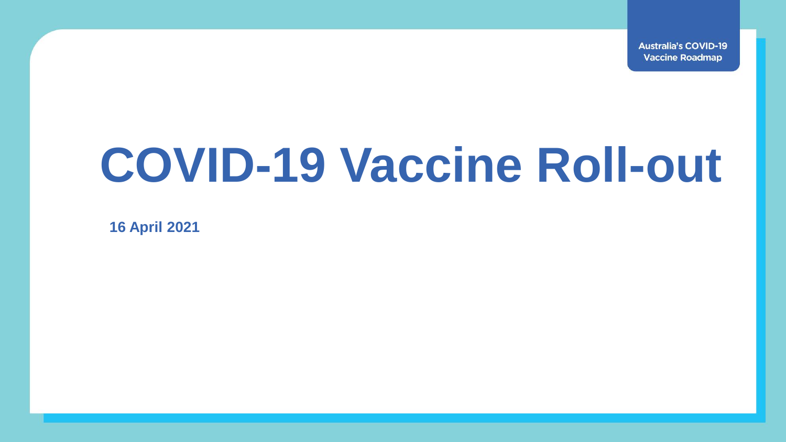**Australia's COVID-19 Vaccine Roadmap** 

## **COVID-19 Vaccine Roll-out**

**16 April 2021**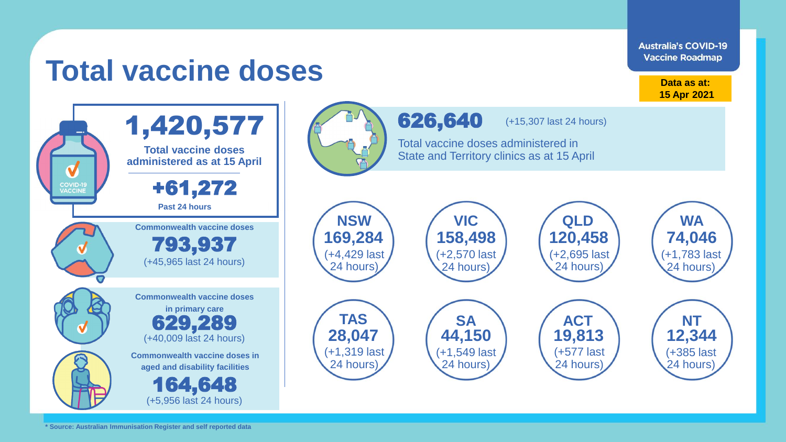

**\* Source: Australian Immunisation Register and self reported data**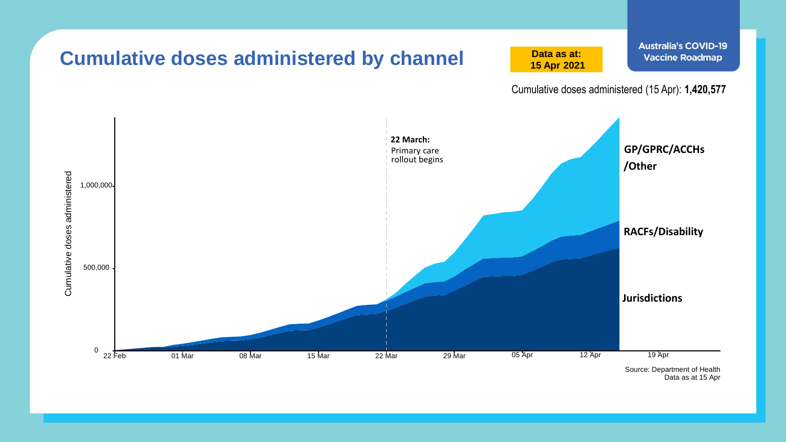

Data as at 15 Apr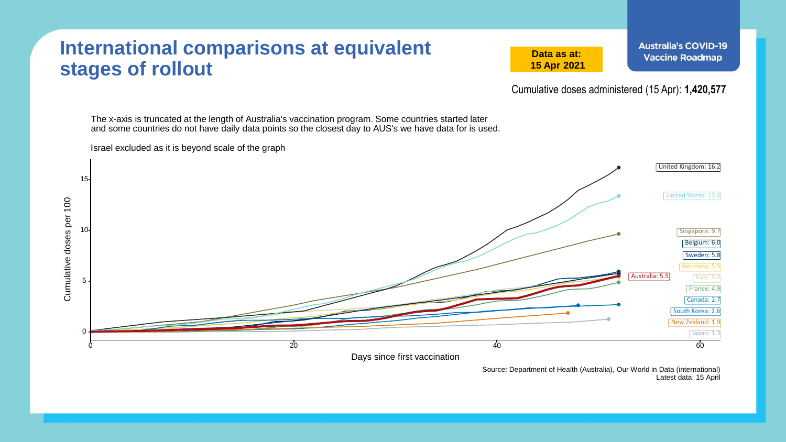## **International comparisons at equivalent stages of rollout**

Israel excluded as it is beyond scale of the graph

**Data as at: 15 Apr 2021**

Cumulative doses administered (15 Apr): **1,420,577**

The x-axis is truncated at the length of Australia's vaccination program. Some countries started later and some countries do not have daily data points so the closest day to AUS's we have data for is used.



Source: Department of Health (Australia), Our World in Data (international) Latest data: 15 April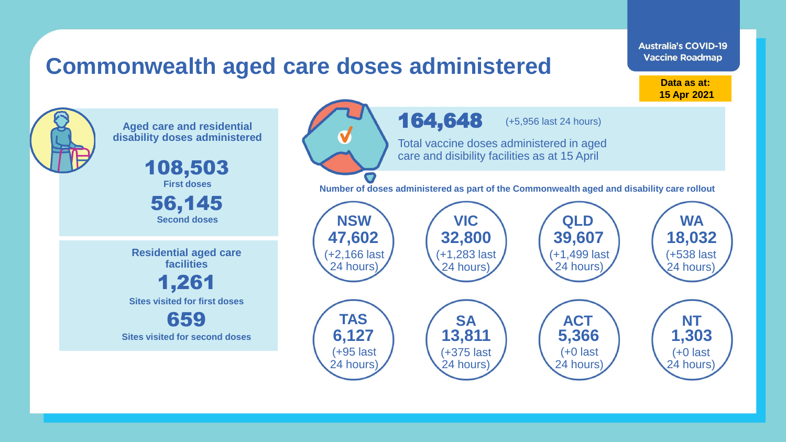## **Commonwealth aged care doses administered**

**Data as at: 15 Apr 2021**